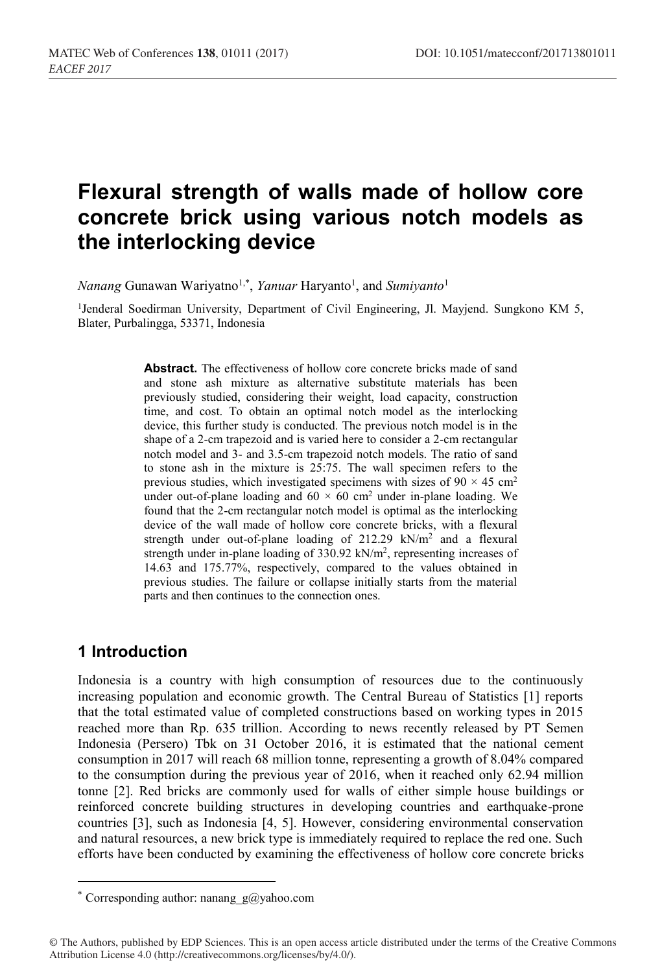# **Flexural strength of walls made of hollow core concrete brick using various notch models as the interlocking device**

*Nanang* Gunawan Wariyatno1,\* , *Yanuar* Haryanto1 , and *Sumiyanto*<sup>1</sup>

<sup>1</sup>Jenderal Soedirman University, Department of Civil Engineering, Jl. Mayjend. Sungkono KM 5, Blater, Purbalingga, 53371, Indonesia

> **Abstract.** The effectiveness of hollow core concrete bricks made of sand and stone ash mixture as alternative substitute materials has been previously studied, considering their weight, load capacity, construction time, and cost. To obtain an optimal notch model as the interlocking device, this further study is conducted. The previous notch model is in the shape of a 2-cm trapezoid and is varied here to consider a 2-cm rectangular notch model and 3- and 3.5-cm trapezoid notch models. The ratio of sand to stone ash in the mixture is  $2\overline{5:75}$ . The wall specimen refers to the previous studies, which investigated specimens with sizes of  $90 \times 45$  cm<sup>2</sup> under out-of-plane loading and  $60 \times 60$  cm<sup>2</sup> under in-plane loading. We found that the 2-cm rectangular notch model is optimal as the interlocking device of the wall made of hollow core concrete bricks, with a flexural strength under out-of-plane loading of 212.29 kN/m2 and a flexural strength under in-plane loading of 330.92 kN/m2, representing increases of 14.63 and 175.77%, respectively, compared to the values obtained in previous studies. The failure or collapse initially starts from the material parts and then continues to the connection ones.

### **1 Introduction**

Indonesia is a country with high consumption of resources due to the continuously increasing population and economic growth. The Central Bureau of Statistics [1] reports that the total estimated value of completed constructions based on working types in 2015 reached more than Rp. 635 trillion. According to news recently released by PT Semen Indonesia (Persero) Tbk on 31 October 2016, it is estimated that the national cement consumption in 2017 will reach 68 million tonne, representing a growth of 8.04% compared to the consumption during the previous year of 2016, when it reached only 62.94 million tonne [2]. Red bricks are commonly used for walls of either simple house buildings or reinforced concrete building structures in developing countries and earthquake-prone countries [3], such as Indonesia [4, 5]. However, considering environmental conservation and natural resources, a new brick type is immediately required to replace the red one. Such efforts have been conducted by examining the effectiveness of hollow core concrete bricks

<sup>\*</sup> Corresponding author: nanang  $g(\hat{a})$ yahoo.com

<sup>©</sup> The Authors, published by EDP Sciences. This is an open access article distributed under the terms of the Creative Commons Attribution License 4.0 (http://creativecommons.org/licenses/by/4.0/).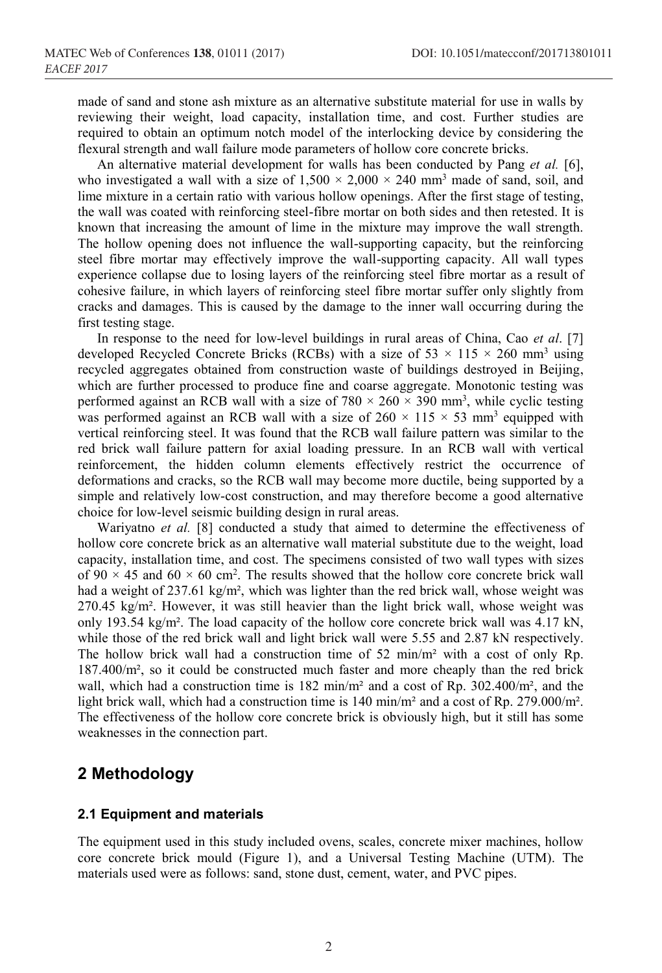made of sand and stone ash mixture as an alternative substitute material for use in walls by reviewing their weight, load capacity, installation time, and cost. Further studies are required to obtain an optimum notch model of the interlocking device by considering the flexural strength and wall failure mode parameters of hollow core concrete bricks.

An alternative material development for walls has been conducted by Pang *et al.* [6], who investigated a wall with a size of  $1,500 \times 2,000 \times 240$  mm<sup>3</sup> made of sand, soil, and lime mixture in a certain ratio with various hollow openings. After the first stage of testing, the wall was coated with reinforcing steel-fibre mortar on both sides and then retested. It is known that increasing the amount of lime in the mixture may improve the wall strength. The hollow opening does not influence the wall-supporting capacity, but the reinforcing steel fibre mortar may effectively improve the wall-supporting capacity. All wall types experience collapse due to losing layers of the reinforcing steel fibre mortar as a result of cohesive failure, in which layers of reinforcing steel fibre mortar suffer only slightly from cracks and damages. This is caused by the damage to the inner wall occurring during the first testing stage.

In response to the need for low-level buildings in rural areas of China, Cao *et al*. [7] developed Recycled Concrete Bricks (RCBs) with a size of 53  $\times$  115  $\times$  260 mm<sup>3</sup> using recycled aggregates obtained from construction waste of buildings destroyed in Beijing, which are further processed to produce fine and coarse aggregate. Monotonic testing was performed against an RCB wall with a size of  $780 \times 260 \times 390$  mm<sup>3</sup>, while cyclic testing was performed against an RCB wall with a size of  $260 \times 115 \times 53$  mm<sup>3</sup> equipped with vertical reinforcing steel. It was found that the RCB wall failure pattern was similar to the red brick wall failure pattern for axial loading pressure. In an RCB wall with vertical reinforcement, the hidden column elements effectively restrict the occurrence of deformations and cracks, so the RCB wall may become more ductile, being supported by a simple and relatively low-cost construction, and may therefore become a good alternative choice for low-level seismic building design in rural areas.

Wariyatno *et al.* [8] conducted a study that aimed to determine the effectiveness of hollow core concrete brick as an alternative wall material substitute due to the weight, load capacity, installation time, and cost. The specimens consisted of two wall types with sizes of 90  $\times$  45 and 60  $\times$  60 cm<sup>2</sup>. The results showed that the hollow core concrete brick wall had a weight of 237.61 kg/m², which was lighter than the red brick wall, whose weight was 270.45 kg/m². However, it was still heavier than the light brick wall, whose weight was only 193.54 kg/m². The load capacity of the hollow core concrete brick wall was 4.17 kN, while those of the red brick wall and light brick wall were 5.55 and 2.87 kN respectively. The hollow brick wall had a construction time of 52 min/m² with a cost of only Rp. 187.400/m², so it could be constructed much faster and more cheaply than the red brick wall, which had a construction time is 182 min/m<sup>2</sup> and a cost of Rp. 302.400/m<sup>2</sup>, and the light brick wall, which had a construction time is 140 min/m² and a cost of Rp. 279.000/m². The effectiveness of the hollow core concrete brick is obviously high, but it still has some weaknesses in the connection part.

### **2 Methodology**

#### **2.1 Equipment and materials**

The equipment used in this study included ovens, scales, concrete mixer machines, hollow core concrete brick mould (Figure 1), and a Universal Testing Machine (UTM). The materials used were as follows: sand, stone dust, cement, water, and PVC pipes.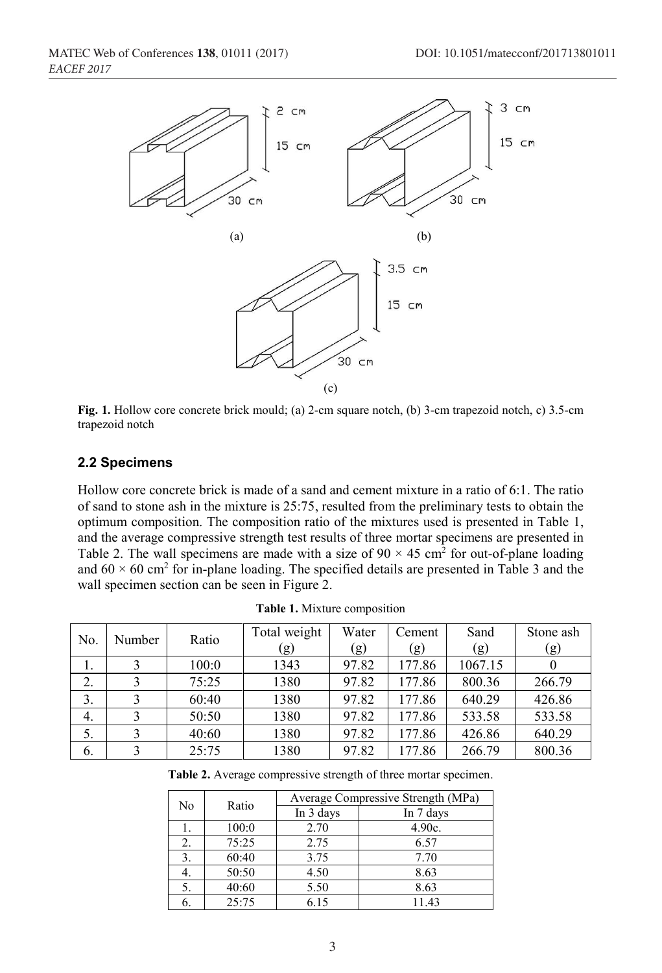

**Fig. 1.** Hollow core concrete brick mould; (a) 2-cm square notch, (b) 3-cm trapezoid notch, c) 3.5-cm trapezoid notch

#### **2.2 Specimens**

Hollow core concrete brick is made of a sand and cement mixture in a ratio of 6:1. The ratio of sand to stone ash in the mixture is 25:75, resulted from the preliminary tests to obtain the optimum composition. The composition ratio of the mixtures used is presented in Table 1, and the average compressive strength test results of three mortar specimens are presented in Table 2. The wall specimens are made with a size of  $90 \times 45$  cm<sup>2</sup> for out-of-plane loading and  $60 \times 60$  cm<sup>2</sup> for in-plane loading. The specified details are presented in Table 3 and the wall specimen section can be seen in Figure 2.

| No. | Number | Ratio | Total weight | Water | Cement | Sand    | Stone ash |
|-----|--------|-------|--------------|-------|--------|---------|-----------|
|     |        |       | (g)          | (g)   | (g)    | (g)     | (g)       |
| 1.  |        | 100:0 | 1343         | 97.82 | 177.86 | 1067.15 |           |
| 2.  |        | 75:25 | 1380         | 97.82 | 177.86 | 800.36  | 266.79    |
| 3.  |        | 60:40 | 1380         | 97.82 | 177.86 | 640.29  | 426.86    |
| 4.  |        | 50:50 | 1380         | 97.82 | 177.86 | 533.58  | 533.58    |
| 5.  |        | 40:60 | 1380         | 97.82 | 177.86 | 426.86  | 640.29    |
| 6.  |        | 25:75 | 1380         | 97.82 | 177.86 | 266.79  | 800.36    |

**Table 1.** Mixture composition

**Table 2.** Average compressive strength of three mortar specimen.

| No |       | Average Compressive Strength (MPa) |           |  |  |
|----|-------|------------------------------------|-----------|--|--|
|    | Ratio | In 3 days                          | In 7 days |  |  |
|    | 100:0 | 2.70                               | $4.90c$ . |  |  |
| 2. | 75:25 | 2.75                               | 6.57      |  |  |
| 3. | 60:40 | 3.75                               | 7.70      |  |  |
| 4. | 50:50 | 4.50                               | 8.63      |  |  |
| 5. | 40:60 | 5.50                               | 8.63      |  |  |
|    | 25:75 | 6.15                               | 11.43     |  |  |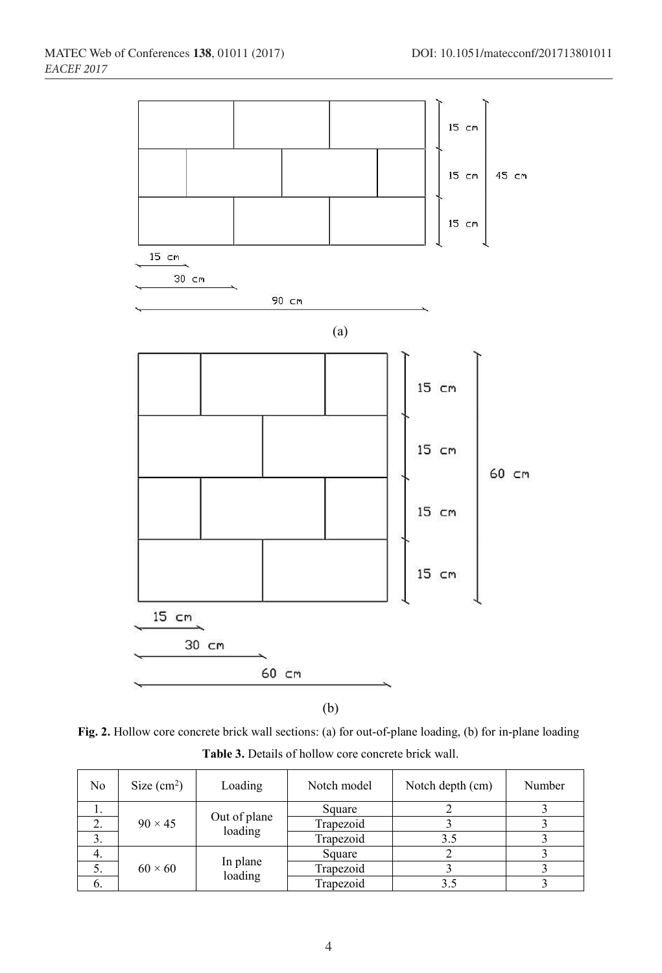

**Fig. 2.** Hollow core concrete brick wall sections: (a) for out-of-plane loading, (b) for in-plane loading **Table 3.** Details of hollow core concrete brick wall.

| No | Size $(cm2)$   | Loading                 | Notch model | Notch depth (cm) | Number |
|----|----------------|-------------------------|-------------|------------------|--------|
|    |                |                         | Square      |                  |        |
| 2. | $90 \times 45$ | Out of plane<br>loading | Trapezoid   |                  |        |
| 3. |                |                         | Trapezoid   | 3.5              |        |
| 4. |                |                         | Square      |                  |        |
| 5. | $60 \times 60$ | In plane<br>loading     | Trapezoid   |                  |        |
| O. |                |                         | Trapezoid   |                  |        |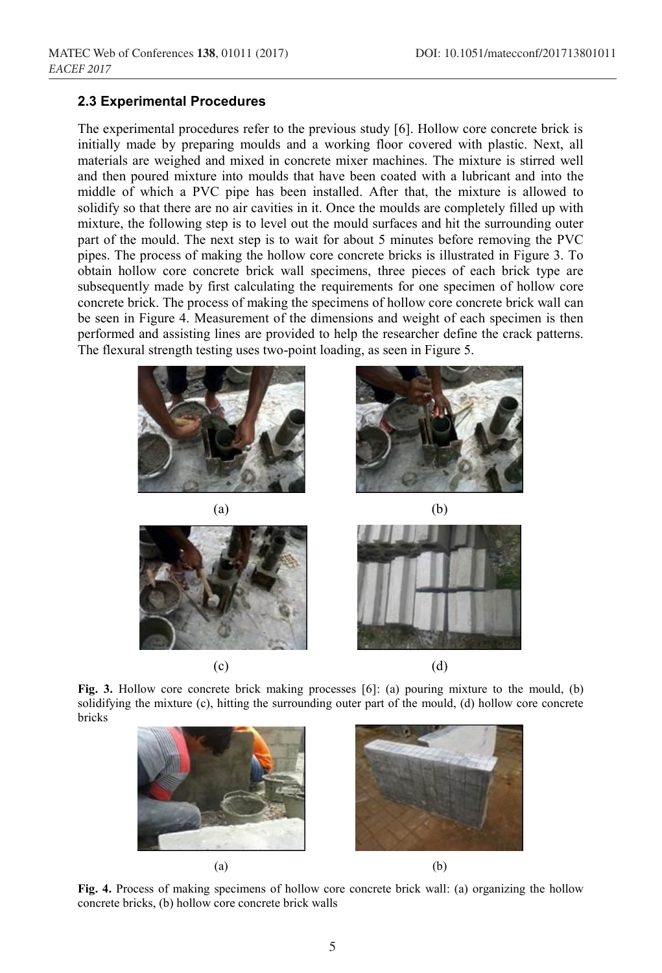#### **2.3 Experimental Procedures**

The experimental procedures refer to the previous study [6]. Hollow core concrete brick is initially made by preparing moulds and a working floor covered with plastic. Next, all materials are weighed and mixed in concrete mixer machines. The mixture is stirred well and then poured mixture into moulds that have been coated with a lubricant and into the middle of which a PVC pipe has been installed. After that, the mixture is allowed to solidify so that there are no air cavities in it. Once the moulds are completely filled up with mixture, the following step is to level out the mould surfaces and hit the surrounding outer part of the mould. The next step is to wait for about 5 minutes before removing the PVC pipes. The process of making the hollow core concrete bricks is illustrated in Figure 3. To obtain hollow core concrete brick wall specimens, three pieces of each brick type are subsequently made by first calculating the requirements for one specimen of hollow core concrete brick. The process of making the specimens of hollow core concrete brick wall can be seen in Figure 4. Measurement of the dimensions and weight of each specimen is then performed and assisting lines are provided to help the researcher define the crack patterns. The flexural strength testing uses two-point loading, as seen in Figure 5.







**Fig. 3.** Hollow core concrete brick making processes [6]: (a) pouring mixture to the mould, (b) solidifying the mixture (c), hitting the surrounding outer part of the mould, (d) hollow core concrete bricks



**Fig. 4.** Process of making specimens of hollow core concrete brick wall: (a) organizing the hollow concrete bricks, (b) hollow core concrete brick walls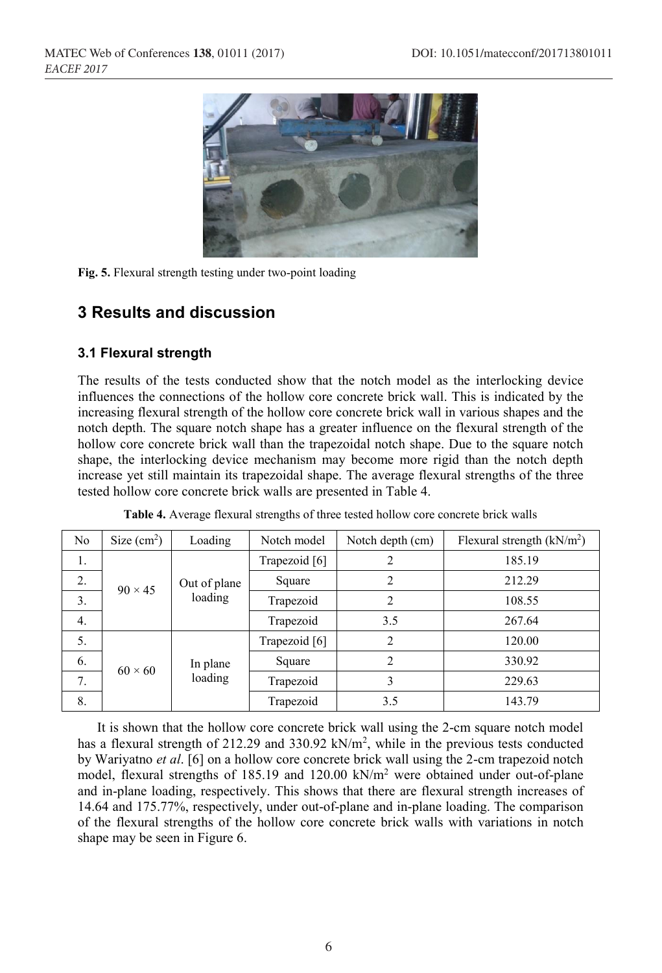

**Fig. 5.** Flexural strength testing under two-point loading

### **3 Results and discussion**

### **3.1 Flexural strength**

The results of the tests conducted show that the notch model as the interlocking device influences the connections of the hollow core concrete brick wall. This is indicated by the increasing flexural strength of the hollow core concrete brick wall in various shapes and the notch depth. The square notch shape has a greater influence on the flexural strength of the hollow core concrete brick wall than the trapezoidal notch shape. Due to the square notch shape, the interlocking device mechanism may become more rigid than the notch depth increase yet still maintain its trapezoidal shape. The average flexural strengths of the three tested hollow core concrete brick walls are presented in Table 4.

| N <sub>o</sub> | Size $(cm2)$                          | Loading                 | Notch model   | Notch depth (cm) | Flexural strength $(kN/m2)$ |
|----------------|---------------------------------------|-------------------------|---------------|------------------|-----------------------------|
| 1.             |                                       |                         | Trapezoid [6] |                  | 185.19                      |
| 2.             | $90 \times 45$                        | Out of plane<br>loading | Square        |                  | 212.29                      |
| 3.             |                                       |                         | Trapezoid     | 2                | 108.55                      |
| 4.             |                                       |                         | Trapezoid     | 3.5              | 267.64                      |
| 5.             | In plane<br>$60 \times 60$<br>loading | Trapezoid [6]           | 2             | 120.00           |                             |
| 6.             |                                       |                         | Square        | 2                | 330.92                      |
| 7.             |                                       |                         | Trapezoid     | 3                | 229.63                      |
| 8.             |                                       |                         | Trapezoid     | 3.5              | 143.79                      |

| Table 4. Average flexural strengths of three tested hollow core concrete brick walls |  |  |  |
|--------------------------------------------------------------------------------------|--|--|--|
|--------------------------------------------------------------------------------------|--|--|--|

It is shown that the hollow core concrete brick wall using the 2-cm square notch model has a flexural strength of 212.29 and 330.92 kN/m<sup>2</sup>, while in the previous tests conducted by Wariyatno *et al*. [6] on a hollow core concrete brick wall using the 2-cm trapezoid notch model, flexural strengths of 185.19 and 120.00 kN/m<sup>2</sup> were obtained under out-of-plane and in-plane loading, respectively. This shows that there are flexural strength increases of 14.64 and 175.77%, respectively, under out-of-plane and in-plane loading. The comparison of the flexural strengths of the hollow core concrete brick walls with variations in notch shape may be seen in Figure 6.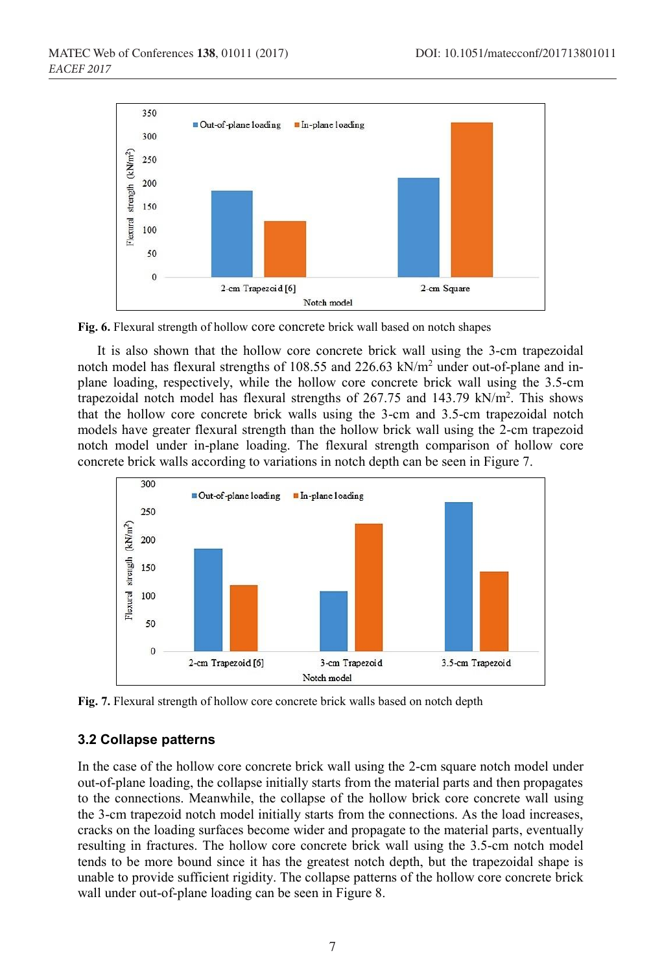

**Fig. 6.** Flexural strength of hollow core concrete brick wall based on notch shapes

It is also shown that the hollow core concrete brick wall using the 3-cm trapezoidal notch model has flexural strengths of 108.55 and 226.63 kN/m2 under out-of-plane and inplane loading, respectively, while the hollow core concrete brick wall using the 3.5-cm trapezoidal notch model has flexural strengths of 267.75 and 143.79 kN/m<sup>2</sup>. This shows that the hollow core concrete brick walls using the 3-cm and 3.5-cm trapezoidal notch models have greater flexural strength than the hollow brick wall using the 2-cm trapezoid notch model under in-plane loading. The flexural strength comparison of hollow core concrete brick walls according to variations in notch depth can be seen in Figure 7.



**Fig. 7.** Flexural strength of hollow core concrete brick walls based on notch depth

#### **3.2 Collapse patterns**

In the case of the hollow core concrete brick wall using the 2-cm square notch model under out-of-plane loading, the collapse initially starts from the material parts and then propagates to the connections. Meanwhile, the collapse of the hollow brick core concrete wall using the 3-cm trapezoid notch model initially starts from the connections. As the load increases, cracks on the loading surfaces become wider and propagate to the material parts, eventually resulting in fractures. The hollow core concrete brick wall using the 3.5-cm notch model tends to be more bound since it has the greatest notch depth, but the trapezoidal shape is unable to provide sufficient rigidity. The collapse patterns of the hollow core concrete brick wall under out-of-plane loading can be seen in Figure 8.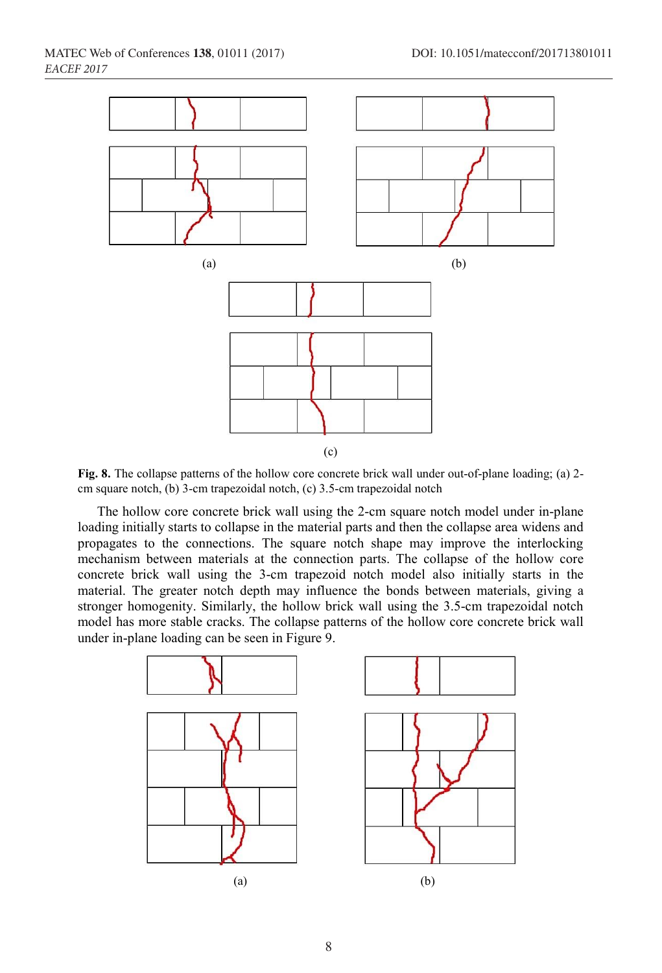

**Fig. 8.** The collapse patterns of the hollow core concrete brick wall under out-of-plane loading; (a) 2 cm square notch, (b) 3-cm trapezoidal notch, (c) 3.5-cm trapezoidal notch

The hollow core concrete brick wall using the 2-cm square notch model under in-plane loading initially starts to collapse in the material parts and then the collapse area widens and propagates to the connections. The square notch shape may improve the interlocking mechanism between materials at the connection parts. The collapse of the hollow core concrete brick wall using the 3-cm trapezoid notch model also initially starts in the material. The greater notch depth may influence the bonds between materials, giving a stronger homogenity. Similarly, the hollow brick wall using the 3.5-cm trapezoidal notch model has more stable cracks. The collapse patterns of the hollow core concrete brick wall under in-plane loading can be seen in Figure 9.